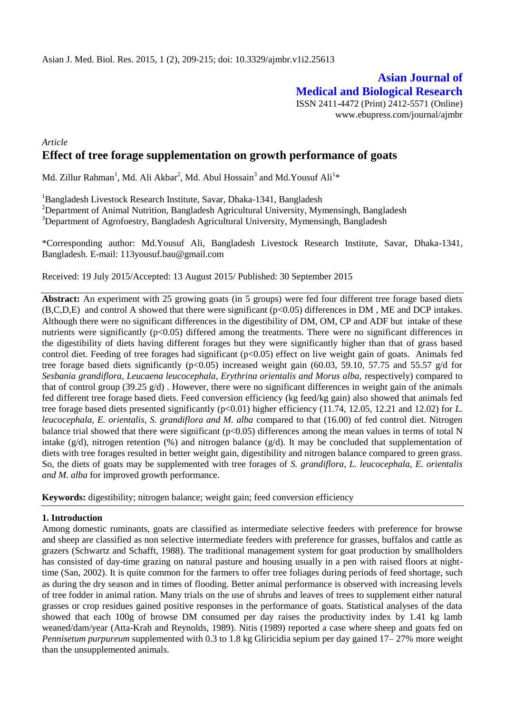# **Asian Journal of Medical and Biological Research**

ISSN 2411-4472 (Print) 2412-5571 (Online) www.ebupress.com/journal/ajmbr

## *Article* **Effect of tree forage supplementation on growth performance of goats**

Md. Zillur Rahman<sup>1</sup>, Md. Ali Akbar<sup>2</sup>, Md. Abul Hossain<sup>3</sup> and Md.Yousuf Ali<sup>1</sup>\*

<sup>1</sup>Bangladesh Livestock Research Institute, Savar, Dhaka-1341, Bangladesh

<sup>2</sup>Department of Animal Nutrition, Bangladesh Agricultural University, Mymensingh, Bangladesh <sup>3</sup>Department of Agrofoestry, Bangladesh Agricultural University, Mymensingh, Bangladesh

\*Corresponding author: Md.Yousuf Ali, Bangladesh Livestock Research Institute, Savar, Dhaka-1341, Bangladesh. E-mail: [113yousuf.bau@gmail.com](mailto:113yousuf.bau@gmail.com)

Received: 19 July 2015/Accepted: 13 August 2015/ Published: 30 September 2015

**Abstract:** An experiment with 25 growing goats (in 5 groups) were fed four different tree forage based diets (B,C,D,E) and control A showed that there were significant (p<0.05) differences in DM , ME and DCP intakes. Although there were no significant differences in the digestibility of DM, OM, CP and ADF but intake of these nutrients were significantly  $(p<0.05)$  differed among the treatments. There were no significant differences in the digestibility of diets having different forages but they were significantly higher than that of grass based control diet. Feeding of tree forages had significant (p<0.05) effect on live weight gain of goats. Animals fed tree forage based diets significantly ( $p<0.05$ ) increased weight gain (60.03, 59.10, 57.75 and 55.57 g/d for *Sesbania grandiflora, Leucaena leucocephala, Erythrina orientalis and Morus alba,* respectively) compared to that of control group (39.25  $g/d$ ). However, there were no significant differences in weight gain of the animals fed different tree forage based diets. Feed conversion efficiency (kg feed/kg gain) also showed that animals fed tree forage based diets presented significantly (p<0.01) higher efficiency (11.74, 12.05, 12.21 and 12.02) for *L*. *leucocephala, E. orientalis, S. grandiflora and M. alba* compared to that (16.00) of fed control diet. Nitrogen balance trial showed that there were significant ( $p<0.05$ ) differences among the mean values in terms of total N intake (g/d), nitrogen retention (%) and nitrogen balance (g/d). It may be concluded that supplementation of diets with tree forages resulted in better weight gain, digestibility and nitrogen balance compared to green grass. So, the diets of goats may be supplemented with tree forages of *S. grandiflora, L. leucocephala, E. orientalis and M. alba* for improved growth performance.

**Keywords:** digestibility; nitrogen balance; weight gain; feed conversion efficiency

#### **1. Introduction**

Among domestic ruminants, goats are classified as intermediate selective feeders with preference for browse and sheep are classified as non selective intermediate feeders with preference for grasses, buffalos and cattle as grazers (Schwartz and Schafft, 1988). The traditional management system for goat production by smallholders has consisted of day-time grazing on natural pasture and housing usually in a pen with raised floors at nighttime (San, 2002). It is quite common for the farmers to offer tree foliages during periods of feed shortage, such as during the dry season and in times of flooding. Better animal performance is observed with increasing levels of tree fodder in animal ration. Many trials on the use of shrubs and leaves of trees to supplement either natural grasses or crop residues gained positive responses in the performance of goats. Statistical analyses of the data showed that each 100g of browse DM consumed per day raises the productivity index by 1.41 kg lamb weaned/dam/year (Atta-Krah and Reynolds, 1989). Nitis (1989) reported a case where sheep and goats fed on *Pennisetum purpureum* supplemented with 0.3 to 1.8 kg Gliricidia sepium per day gained 17– 27% more weight than the unsupplemented animals.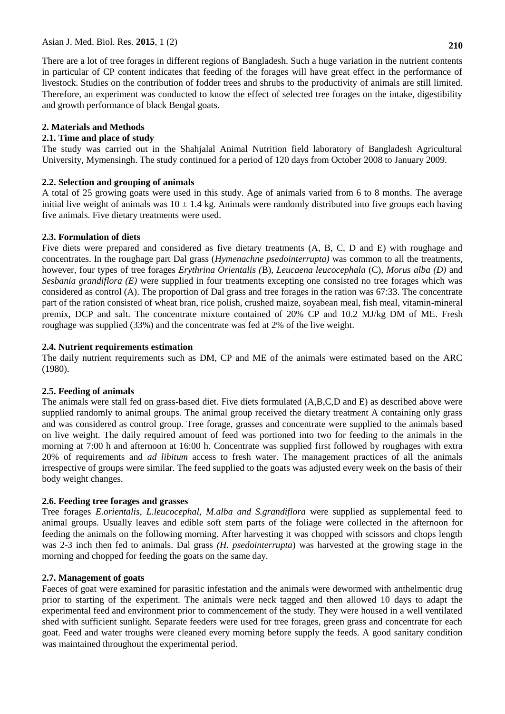There are a lot of tree forages in different regions of Bangladesh. Such a huge variation in the nutrient contents in particular of CP content indicates that feeding of the forages will have great effect in the performance of livestock. Studies on the contribution of fodder trees and shrubs to the productivity of animals are still limited. Therefore, an experiment was conducted to know the effect of selected tree forages on the intake, digestibility and growth performance of black Bengal goats.

## **2. Materials and Methods**

## **2.1. Time and place of study**

The study was carried out in the Shahjalal Animal Nutrition field laboratory of Bangladesh Agricultural University, Mymensingh. The study continued for a period of 120 days from October 2008 to January 2009.

## **2.2. Selection and grouping of animals**

A total of 25 growing goats were used in this study. Age of animals varied from 6 to 8 months. The average initial live weight of animals was  $10 \pm 1.4$  kg. Animals were randomly distributed into five groups each having five animals. Five dietary treatments were used.

## **2.3. Formulation of diets**

Five diets were prepared and considered as five dietary treatments (A, B, C, D and E) with roughage and concentrates. In the roughage part Dal grass (*Hymenachne psedointerrupta)* was common to all the treatments, however, four types of tree forages *Erythrina Orientalis (*B), *Leucaena leucocephala* (C), *Morus alba (D)* and *Sesbania grandiflora (E)* were supplied in four treatments excepting one consisted no tree forages which was considered as control (A). The proportion of Dal grass and tree forages in the ration was 67:33. The concentrate part of the ration consisted of wheat bran, rice polish, crushed maize, soyabean meal, fish meal, vitamin-mineral premix, DCP and salt. The concentrate mixture contained of 20% CP and 10.2 MJ/kg DM of ME. Fresh roughage was supplied (33%) and the concentrate was fed at 2% of the live weight.

## **2.4. Nutrient requirements estimation**

The daily nutrient requirements such as DM, CP and ME of the animals were estimated based on the ARC (1980).

## **2.5. Feeding of animals**

The animals were stall fed on grass-based diet. Five diets formulated (A,B,C,D and E) as described above were supplied randomly to animal groups. The animal group received the dietary treatment A containing only grass and was considered as control group. Tree forage, grasses and concentrate were supplied to the animals based on live weight. The daily required amount of feed was portioned into two for feeding to the animals in the morning at 7:00 h and afternoon at 16:00 h. Concentrate was supplied first followed by roughages with extra 20% of requirements and *ad libitum* access to fresh water. The management practices of all the animals irrespective of groups were similar. The feed supplied to the goats was adjusted every week on the basis of their body weight changes.

#### **2.6. Feeding tree forages and grasses**

Tree forages *E.orientalis*, *L.leucocephal, M.alba and S.grandiflora* were supplied as supplemental feed to animal groups. Usually leaves and edible soft stem parts of the foliage were collected in the afternoon for feeding the animals on the following morning. After harvesting it was chopped with scissors and chops length was 2-3 inch then fed to animals. Dal grass *(H. psedointerrupta*) was harvested at the growing stage in the morning and chopped for feeding the goats on the same day.

#### **2.7. Management of goats**

Faeces of goat were examined for parasitic infestation and the animals were dewormed with anthelmentic drug prior to starting of the experiment. The animals were neck tagged and then allowed 10 days to adapt the experimental feed and environment prior to commencement of the study. They were housed in a well ventilated shed with sufficient sunlight. Separate feeders were used for tree forages, green grass and concentrate for each goat. Feed and water troughs were cleaned every morning before supply the feeds. A good sanitary condition was maintained throughout the experimental period.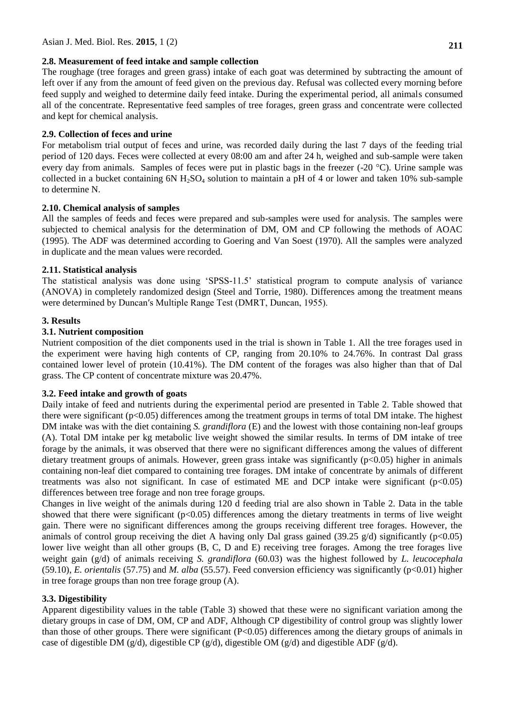#### **2.8. Measurement of feed intake and sample collection**

The roughage (tree forages and green grass) intake of each goat was determined by subtracting the amount of left over if any from the amount of feed given on the previous day. Refusal was collected every morning before feed supply and weighed to determine daily feed intake. During the experimental period, all animals consumed all of the concentrate. Representative feed samples of tree forages, green grass and concentrate were collected and kept for chemical analysis.

## **2.9. Collection of feces and urine**

For metabolism trial output of feces and urine, was recorded daily during the last 7 days of the feeding trial period of 120 days. Feces were collected at every 08:00 am and after 24 h, weighed and sub-sample were taken every day from animals. Samples of feces were put in plastic bags in the freezer (-20 °C). Urine sample was collected in a bucket containing  $6N H_2SO_4$  solution to maintain a pH of 4 or lower and taken 10% sub-sample to determine N.

## **2.10. Chemical analysis of samples**

All the samples of feeds and feces were prepared and sub-samples were used for analysis. The samples were subjected to chemical analysis for the determination of DM, OM and CP following the methods of AOAC (1995). The ADF was determined according to Goering and Van Soest (1970). All the samples were analyzed in duplicate and the mean values were recorded.

## **2.11. Statistical analysis**

The statistical analysis was done using "SPSS-11.5" statistical program to compute analysis of variance (ANOVA) in completely randomized design (Steel and Torrie, 1980). Differences among the treatment means were determined by Duncan′s Multiple Range Test (DMRT, Duncan, 1955).

## **3. Results**

## **3.1. Nutrient composition**

Nutrient composition of the diet components used in the trial is shown in Table 1. All the tree forages used in the experiment were having high contents of CP, ranging from 20.10% to 24.76%. In contrast Dal grass contained lower level of protein (10.41%). The DM content of the forages was also higher than that of Dal grass. The CP content of concentrate mixture was 20.47%.

#### **3.2. Feed intake and growth of goats**

Daily intake of feed and nutrients during the experimental period are presented in Table 2. Table showed that there were significant (p<0.05) differences among the treatment groups in terms of total DM intake. The highest DM intake was with the diet containing *S. grandiflora* (E) and the lowest with those containing non-leaf groups (A). Total DM intake per kg metabolic live weight showed the similar results. In terms of DM intake of tree forage by the animals, it was observed that there were no significant differences among the values of different dietary treatment groups of animals. However, green grass intake was significantly ( $p<0.05$ ) higher in animals containing non-leaf diet compared to containing tree forages. DM intake of concentrate by animals of different treatments was also not significant. In case of estimated ME and DCP intake were significant  $(p<0.05)$ differences between tree forage and non tree forage groups.

Changes in live weight of the animals during 120 d feeding trial are also shown in Table 2. Data in the table showed that there were significant  $(p<0.05)$  differences among the dietary treatments in terms of live weight gain. There were no significant differences among the groups receiving different tree forages. However, the animals of control group receiving the diet A having only Dal grass gained (39.25  $g/d$ ) significantly (p<0.05) lower live weight than all other groups (B, C, D and E) receiving tree forages. Among the tree forages live weight gain (g/d) of animals receiving *S. grandiflora* (60.03) was the highest followed by *L. leucocephala* (59.10), *E. orientalis* (57.75) and *M. alba* (55.57). Feed conversion efficiency was significantly (p<0.01) higher in tree forage groups than non tree forage group (A).

## **3.3. Digestibility**

Apparent digestibility values in the table (Table 3) showed that these were no significant variation among the dietary groups in case of DM, OM, CP and ADF, Although CP digestibility of control group was slightly lower than those of other groups. There were significant (P<0.05) differences among the dietary groups of animals in case of digestible DM (g/d), digestible CP (g/d), digestible OM (g/d) and digestible ADF (g/d).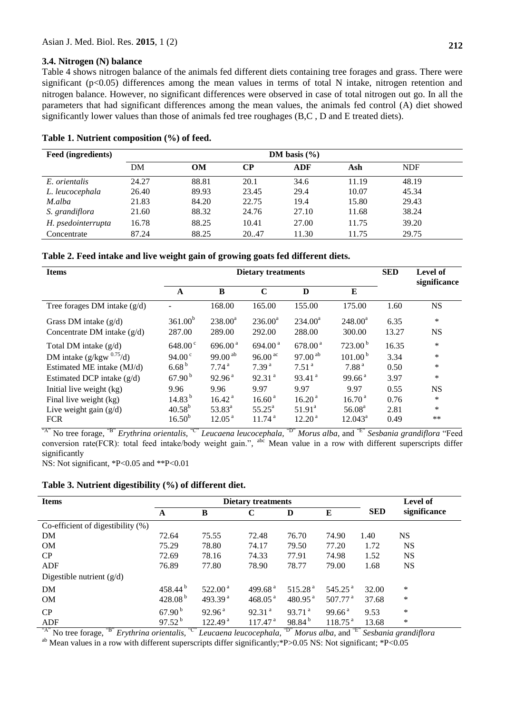#### **3.4. Nitrogen (N) balance**

Table 4 shows nitrogen balance of the animals fed different diets containing tree forages and grass. There were significant (p<0.05) differences among the mean values in terms of total N intake, nitrogen retention and nitrogen balance. However, no significant differences were observed in case of total nitrogen out go. In all the parameters that had significant differences among the mean values, the animals fed control (A) diet showed significantly lower values than those of animals fed tree roughages (B,C , D and E treated diets).

| Feed (ingredients) | DM basis $(\% )$ |       |       |       |       |       |  |
|--------------------|------------------|-------|-------|-------|-------|-------|--|
|                    | DM               | OM    | CР    | ADF   | Ash   | NDF   |  |
| E. orientalis      | 24.27            | 88.81 | 20.1  | 34.6  | 11.19 | 48.19 |  |
| L. leucocephala    | 26.40            | 89.93 | 23.45 | 29.4  | 10.07 | 45.34 |  |
| M.alba             | 21.83            | 84.20 | 22.75 | 19.4  | 15.80 | 29.43 |  |
| S. grandiflora     | 21.60            | 88.32 | 24.76 | 27.10 | 11.68 | 38.24 |  |
| H. psedointerrupta | 16.78            | 88.25 | 10.41 | 27.00 | 11.75 | 39.20 |  |
| Concentrate        | 87.24            | 88.25 | 20.47 | 11.30 | 11.75 | 29.75 |  |

#### **Table 1. Nutrient composition (%) of feed.**

| <b>Items</b>                   | <b>Dietary treatments</b> |                    |                        |                      |                     |       | <b>Level of</b><br>significance |  |
|--------------------------------|---------------------------|--------------------|------------------------|----------------------|---------------------|-------|---------------------------------|--|
|                                | $\mathbf{A}$              | $\bf{B}$           | $\mathbf C$            | D                    | E                   |       |                                 |  |
| Tree forages DM intake $(g/d)$ |                           | 168.00             | 165.00                 | 155.00               | 175.00              | 1.60  | <b>NS</b>                       |  |
| Grass DM intake $(g/d)$        | 361.00 <sup>b</sup>       | $238.00^a$         | $236.00^a$             | $234.00^a$           | $248.00^a$          | 6.35  | $\ast$                          |  |
| Concentrate DM intake $(g/d)$  | 287.00                    | 289.00             | 292.00                 | 288.00               | 300.00              | 13.27 | <b>NS</b>                       |  |
| Total DM intake $(g/d)$        | $648.00^{\circ}$          | 696.00 $^{a}$      | 694.00 $^{a}$          | 678.00 <sup>a</sup>  | 723.00 <sup>b</sup> | 16.35 | $\ast$                          |  |
| DM intake $(g/kgw^{0.75}/d)$   | 94.00 <sup>c</sup>        | 99.00 $^{ab}$      | 96.00 $\mathrm{^{ac}}$ | $97.00^{ab}$         | 101.00 <sup>b</sup> | 3.34  | $\ast$                          |  |
| Estimated ME intake (MJ/d)     | 6.68 <sup>b</sup>         | 7.74 <sup>a</sup>  | 7.39 <sup>a</sup>      | 7.51 <sup>a</sup>    | 7.88 <sup>a</sup>   | 0.50  | $\ast$                          |  |
| Estimated DCP intake $(g/d)$   | 67.90 <sup>b</sup>        | 92.96 <sup>a</sup> | 92.31 <sup>a</sup>     | $93.41$ <sup>a</sup> | 99.66 <sup>a</sup>  | 3.97  | $\ast$                          |  |
| Initial live weight (kg)       | 9.96                      | 9.96               | 9.97                   | 9.97                 | 9.97                | 0.55  | <b>NS</b>                       |  |
| Final live weight (kg)         | 14.83 <sup>b</sup>        | 16.42 <sup>a</sup> | 16.60 <sup>a</sup>     | 16.20 <sup>a</sup>   | 16.70 <sup>a</sup>  | 0.76  | $\ast$                          |  |
| Live weight gain $(g/d)$       | $40.58^{b}$               | $53.83^{a}$        | $55.25^{\circ}$        | $51.91^{\circ}$      | 56.08 <sup>a</sup>  | 2.81  | $\ast$                          |  |
| <b>FCR</b>                     | $16.50^{b}$               | 12.05 <sup>a</sup> | 11.74 <sup>a</sup>     | 12.20 <sup>a</sup>   | $12.043^a$          | 0.49  | **                              |  |

"A" No tree forage, "B" *Erythrina orientalis,* "C" *Leucaena leucocephala,* "D" *Morus alba*, and "E" *Sesbania grandiflora* "Feed conversion rate(FCR): total feed intake/body weight gain.", <sup>abc</sup> Mean value in a row with different superscripts differ significantly

NS: Not significant, \*P<0.05 and \*\*P<0.01

| Table 3. Nutrient digestibility (%) of different diet. |  |
|--------------------------------------------------------|--|
|                                                        |  |

| <b>Items</b>                         | <b>Dietary treatments</b> |                      |                     |                     |                     |            | <b>Level of</b> |
|--------------------------------------|---------------------------|----------------------|---------------------|---------------------|---------------------|------------|-----------------|
|                                      | A                         | B                    | C                   | D                   | E                   | <b>SED</b> | significance    |
| Co-efficient of digestibility $(\%)$ |                           |                      |                     |                     |                     |            |                 |
| DM                                   | 72.64                     | 75.55                | 72.48               | 76.70               | 74.90               | 1.40       | <b>NS</b>       |
| <b>OM</b>                            | 75.29                     | 78.80                | 74.17               | 79.50               | 77.20               | 1.72       | <b>NS</b>       |
| CP                                   | 72.69                     | 78.16                | 74.33               | 77.91               | 74.98               | 1.52       | <b>NS</b>       |
| ADF                                  | 76.89                     | 77.80                | 78.90               | 78.77               | 79.00               | 1.68       | <b>NS</b>       |
| Digestible nutrient $(g/d)$          |                           |                      |                     |                     |                     |            |                 |
| DM                                   | 458.44 $^{\rm b}$         | $522.00^{\text{ a}}$ | 499.68 $^{a}$       | 515.28 <sup>a</sup> | 545.25 $^{a}$       | 32.00      | *               |
| <b>OM</b>                            | 428.08 $^{\rm b}$         | 493.39 $a$           | 468.05 $^{a}$       | $480.95^{\text{a}}$ | 507.77 $^{\rm a}$   | 37.68      | $\ast$          |
| CP                                   | 67.90 <sup>b</sup>        | 92.96 <sup>a</sup>   | 92.31 <sup>a</sup>  | 93.71 <sup>a</sup>  | 99.66 <sup>a</sup>  | 9.53       | *               |
| ADF<br>$\sim$ $\sim$                 | $97.52^{b}$               | 122.49 <sup>a</sup>  | 117.47 <sup>a</sup> | 98.84 <sup>b</sup>  | 118.75 <sup>a</sup> | 13.68      | $\ast$          |

"A" No tree forage, "B" *Erythrina orientalis,* "C" *Leucaena leucocephala,* "D" *Morus alba*, and "E" *Sesbania grandiflora* <sup>ab</sup> Mean values in a row with different superscripts differ significantly; \*P>0.05 NS: Not significant; \*P<0.05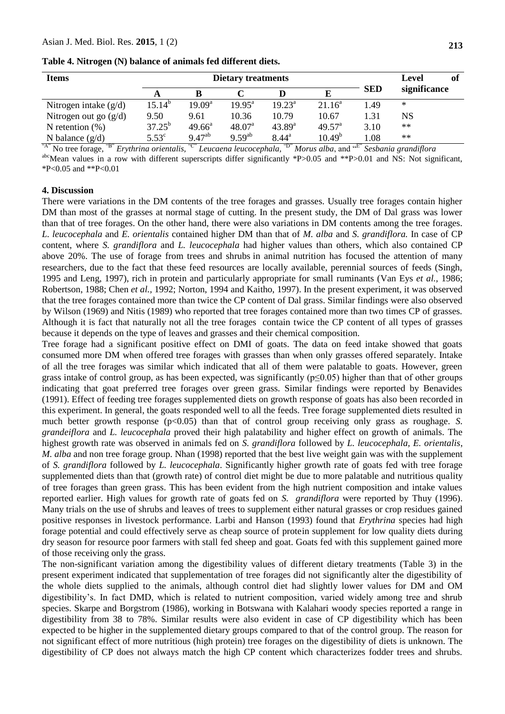| Table 4. Nitrogen (N) balance of animals fed different diets. |  |  |
|---------------------------------------------------------------|--|--|
|---------------------------------------------------------------|--|--|

| <b>Items</b>            |                 | <b>Dietary treatments</b> |                    | of<br>Level        |                 |            |              |
|-------------------------|-----------------|---------------------------|--------------------|--------------------|-----------------|------------|--------------|
|                         | A               |                           |                    |                    |                 | <b>SED</b> | significance |
| Nitrogen intake $(g/d)$ | $15.14^{b}$     | 19.09 <sup>a</sup>        | $19.95^{\text{a}}$ | $19.23^{\text{a}}$ | $21.16^a$       | 1.49       | $\ast$       |
| Nitrogen out go $(g/d)$ | 9.50            | 9.61                      | 10.36              | 10.79              | 10.67           | 1.31       | NS           |
| N retention $(\%)$      | $37.25^{\rm b}$ | $49.66^{\circ}$           | 48.07 <sup>a</sup> | $43.89^{a}$        | $49.57^{\circ}$ | 3.10       | $**$         |
| N balance $(g/d)$       | $5.53^{\circ}$  | $9.47^{ab}$               | $9.59^{ab}$        | $8.44^{\circ}$     | $10.49^b$       | 1.08       | $**$         |

"A" No tree forage, "B" *Erythrina orientalis,* "C" *Leucaena leucocephala,* "D" *Morus alba*, and "E" *Sesbania grandiflora*

abcMean values in a row with different superscripts differ significantly \*P>0.05 and \*\*P>0.01 and NS: Not significant, \*P<0.05 and \*\*P<0.01

#### **4. Discussion**

There were variations in the DM contents of the tree forages and grasses. Usually tree forages contain higher DM than most of the grasses at normal stage of cutting. In the present study, the DM of Dal grass was lower than that of tree forages. On the other hand, there were also variations in DM contents among the tree forages. *L. leucocephala* and *E. orientalis* contained higher DM than that of *M. alba* and *S. grandiflora.* In case of CP content, where *S. grandiflora* and *L. leucocephala* had higher values than others, which also contained CP above 20%. The use of forage from trees and shrubs in animal nutrition has focused the attention of many researchers, due to the fact that these feed resources are locally available, perennial sources of feeds (Singh, 1995 and Leng, 1997), rich in protein and particularly appropriate for small ruminants (Van Eys *et al.,* 1986; Robertson, 1988; Chen *et al.,* 1992; Norton, 1994 and Kaitho, 1997). In the present experiment, it was observed that the tree forages contained more than twice the CP content of Dal grass. Similar findings were also observed by Wilson (1969) and Nitis (1989) who reported that tree forages contained more than two times CP of grasses. Although it is fact that naturally not all the tree forages contain twice the CP content of all types of grasses because it depends on the type of leaves and grasses and their chemical composition.

Tree forage had a significant positive effect on DMI of goats. The data on feed intake showed that goats consumed more DM when offered tree forages with grasses than when only grasses offered separately. Intake of all the tree forages was similar which indicated that all of them were palatable to goats. However, green grass intake of control group, as has been expected, was significantly ( $p \le 0.05$ ) higher than that of other groups indicating that goat preferred tree forages over green grass. Similar findings were reported by Benavides (1991). Effect of feeding tree forages supplemented diets on growth response of goats has also been recorded in this experiment. In general, the goats responded well to all the feeds. Tree forage supplemented diets resulted in much better growth response (p<0.05) than that of control group receiving only grass as roughage. *S. grandeiflora* and *L. leucocephala* proved their high palatability and higher effect on growth of animals. The highest growth rate was observed in animals fed on *S. grandiflora* followed by *L. leucocephala, E. orientalis*, *M. alba* and non tree forage group. Nhan (1998) reported that the best live weight gain was with the supplement of *S. grandiflora* followed by *L. leucocephala*. Significantly higher growth rate of goats fed with tree forage supplemented diets than that (growth rate) of control diet might be due to more palatable and nutritious quality of tree forages than green grass. This has been evident from the high nutrient composition and intake values reported earlier. High values for growth rate of goats fed on *S. grandiflora* were reported by Thuy (1996). Many trials on the use of shrubs and leaves of trees to supplement either natural grasses or crop residues gained positive responses in livestock performance. Larbi and Hanson (1993) found that *Erythrina* species had high forage potential and could effectively serve as cheap source of protein supplement for low quality diets during dry season for resource poor farmers with stall fed sheep and goat. Goats fed with this supplement gained more of those receiving only the grass.

The non-significant variation among the digestibility values of different dietary treatments (Table 3) in the present experiment indicated that supplementation of tree forages did not significantly alter the digestibility of the whole diets supplied to the animals, although control diet had slightly lower values for DM and OM digestibility"s. In fact DMD, which is related to nutrient composition, varied widely among tree and shrub species. Skarpe and Borgstrom (1986), working in Botswana with Kalahari woody species reported a range in digestibility from 38 to 78%. Similar results were also evident in case of CP digestibility which has been expected to be higher in the supplemented dietary groups compared to that of the control group. The reason for not significant effect of more nutritious (high protein) tree forages on the digestibility of diets is unknown. The digestibility of CP does not always match the high CP content which characterizes fodder trees and shrubs.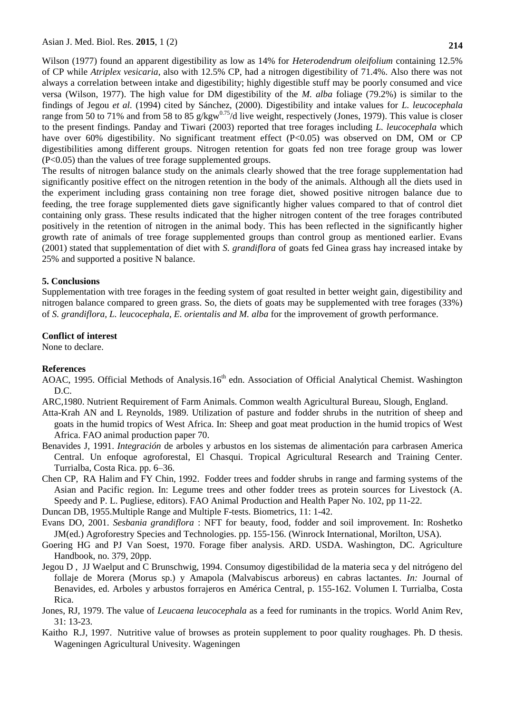Wilson (1977) found an apparent digestibility as low as 14% for *Heterodendrum oleifolium* containing 12.5% of CP while *Atriplex vesicaria*, also with 12.5% CP, had a nitrogen digestibility of 71.4%. Also there was not always a correlation between intake and digestibility; highly digestible stuff may be poorly consumed and vice versa (Wilson, 1977). The high value for DM digestibility of the *M. alba* foliage (79.2%) is similar to the findings of Jegou *et al.* (1994) cited by Sánchez, (2000). Digestibility and intake values for *L. leucocephala* range from 50 to 71% and from 58 to 85 g/kgw<sup>0.75</sup>/d live weight, respectively (Jones, 1979). This value is closer to the present findings. Panday and Tiwari (2003) reported that tree forages including *L. leucocephala* which have over 60% digestibility. No significant treatment effect (P<0.05) was observed on DM, OM or CP digestibilities among different groups. Nitrogen retention for goats fed non tree forage group was lower (P<0.05) than the values of tree forage supplemented groups.

The results of nitrogen balance study on the animals clearly showed that the tree forage supplementation had significantly positive effect on the nitrogen retention in the body of the animals. Although all the diets used in the experiment including grass containing non tree forage diet, showed positive nitrogen balance due to feeding, the tree forage supplemented diets gave significantly higher values compared to that of control diet containing only grass. These results indicated that the higher nitrogen content of the tree forages contributed positively in the retention of nitrogen in the animal body. This has been reflected in the significantly higher growth rate of animals of tree forage supplemented groups than control group as mentioned earlier. Evans (2001) stated that supplementation of diet with *[S. grandiflora](http://www.tropicalforages.info/key/Forages/Media/Html/Sesbania_grandiflora.htm)* of goats fed Ginea [grass](http://www.tropicalforages.info/key/Forages/Media/Html/glossary.htm#grass) [hay](http://www.tropicalforages.info/key/Forages/Media/Html/glossary.htm#hay) increased intake by 25% and supported a positive N balance.

#### **5. Conclusions**

Supplementation with tree forages in the feeding system of goat resulted in better weight gain, digestibility and nitrogen balance compared to green grass. So, the diets of goats may be supplemented with tree forages (33%) of *S. grandiflora, L. leucocephala, E. orientalis and M. alba* for the improvement of growth performance.

#### **Conflict of interest**

None to declare.

#### **References**

- AOAC, 1995. Official Methods of Analysis.16<sup>th</sup> edn. Association of Official Analytical Chemist. Washington D.C.
- ARC,1980. Nutrient Requirement of Farm Animals. Common wealth Agricultural Bureau, Slough, England.
- Atta-Krah AN and L Reynolds, 1989. Utilization of pasture and fodder shrubs in the nutrition of sheep and goats in the humid tropics of West Africa. In: Sheep and goat meat production in the humid tropics of West Africa. FAO animal production paper 70.
- Benavides J, 1991. *Integración* de arboles y arbustos en los sistemas de alimentación para carbrasen America Central. Un enfoque agroforestal, El Chasqui. Tropical Agricultural Research and Training Center. Turrialba, Costa Rica. pp. 6–36.
- Chen CP, RA Halim and FY Chin, 1992. Fodder trees and fodder shrubs in range and farming systems of the Asian and Pacific region. In: Legume trees and other fodder trees as protein sources for Livestock (A. Speedy and P. L. Pugliese, editors). FAO Animal Production and Health Paper No. 102, pp 11-22.
- Duncan DB, 1955.Multiple Range and Multiple F-tests. Biometrics, 11: 1-42.
- Evans DO, 2001. *[Sesbania grandiflora](http://www.tropicalforages.info/key/Forages/Media/Html/Sesbania_grandiflora.htm)* : NFT for beauty, food, fodder and soil improvement. In: Roshetko JM(ed.) [Agroforestry](http://www.tropicalforages.info/key/Forages/Media/Html/glossary.htm#agroforestry) Species and Technologies. pp. 155-156. (Winrock International, Morilton, USA).
- Goering HG and PJ Van Soest, 1970. Forage fiber analysis. ARD. USDA. Washington, DC. Agriculture Handbook, no. 379, 20pp.
- Jegou D , JJ Waelput and C Brunschwig, 1994. Consumoy digestibilidad de la materia seca y del nitrógeno del follaje de Morera (Morus sp.) y Amapola (Malvabiscus arboreus) en cabras lactantes. *In:* Journal of Benavides, ed. Arboles y arbustos forrajeros en América Central, p. 155-162. Volumen I. Turrialba, Costa Rica.
- Jones, RJ, 1979. The value of *Leucaena leucocephala* as a feed for ruminants in the tropics. World Anim Rev, 31: 13-23.
- Kaitho R.J, 1997. Nutritive value of browses as protein supplement to poor quality roughages. Ph. D thesis. Wageningen Agricultural Univesity. Wageningen